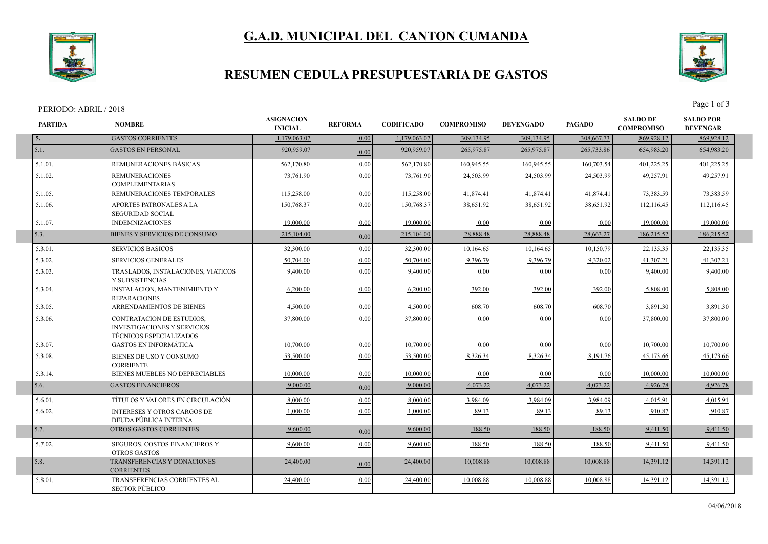# **G.A.D. MUNICIPAL DEL CANTON CUMANDA**



## **RESUMEN CEDULA PRESUPUESTARIA DE GASTOS**



| PERIODO: ABRIL / 2018 |                                                                                                   |                                     |                |                   |                   |                  |               | Page 1 of 3                          |                                     |  |
|-----------------------|---------------------------------------------------------------------------------------------------|-------------------------------------|----------------|-------------------|-------------------|------------------|---------------|--------------------------------------|-------------------------------------|--|
| PARTIDA               | <b>NOMBRE</b>                                                                                     | <b>ASIGNACION</b><br><b>INICIAL</b> | <b>REFORMA</b> | <b>CODIFICADO</b> | <b>COMPROMISO</b> | <b>DEVENGADO</b> | <b>PAGADO</b> | <b>SALDO DE</b><br><b>COMPROMISO</b> | <b>SALDO POR</b><br><b>DEVENGAR</b> |  |
| 5.                    | <b>GASTOS CORRIENTES</b>                                                                          | 1,179,063.07                        | 0.00           | 1,179,063.07      | 309,134.95        | 309,134.95       | 308,667.73    | 869,928.12                           | 869,928.12                          |  |
| 5.1.                  | <b>GASTOS EN PERSONAL</b>                                                                         | 920,959.07                          | 0.00           | 920,959.07        | 265,975.87        | 265,975.87       | 265,733.86    | 654,983.20                           | 654,983.20                          |  |
| 5.1.01.               | REMUNERACIONES BÁSICAS                                                                            | 562,170.80                          | 0.00           | 562,170.80        | 160,945.55        | 160,945.55       | 160,703.54    | 401,225.25                           | 401,225.25                          |  |
| 5.1.02.               | <b>REMUNERACIONES</b><br><b>COMPLEMENTARIAS</b>                                                   | 73,761.90                           | 0.00           | 73,761.90         | 24,503.99         | 24,503.99        | 24,503.99     | 49,257.9                             | 49,257.91                           |  |
| 5.1.05.               | REMUNERACIONES TEMPORALES                                                                         | 115,258.00                          | 0.00           | 115,258.00        | 41,874.41         | 41,874.41        | 41,874.41     | 73,383.59                            | 73,383.59                           |  |
| 5.1.06.               | APORTES PATRONALES A LA<br><b>SEGURIDAD SOCIAL</b>                                                | 150,768.37                          | 0.00           | 150,768.37        | 38,651.92         | 38,651.92        | 38,651.92     | 112,116.45                           | 112,116.45                          |  |
| 5.1.07.               | <b>INDEMNIZACIONES</b>                                                                            | 19,000.00                           | 0.00           | 19,000.00         | 0.00              | 0.00             | 0.00          | 19,000.00                            | 19,000.00                           |  |
| 5.3.                  | BIENES Y SERVICIOS DE CONSUMO                                                                     | 215,104.00                          | 0.00           | 215,104.00        | 28,888.48         | 28,888.48        | 28,663.27     | 186,215.52                           | 186,215.52                          |  |
| 5.3.01.               | <b>SERVICIOS BASICOS</b>                                                                          | 32,300.00                           | 0.00           | 32,300.00         | 10,164.65         | 10,164.65        | 10,150.79     | 22,135.35                            | 22,135.35                           |  |
| 5.3.02.               | <b>SERVICIOS GENERALES</b>                                                                        | 50,704.00                           | 0.00           | 50,704.00         | 9.396.79          | 9.396.79         | 9,320.02      | 41,307.21                            | 41,307.21                           |  |
| 5.3.03.               | TRASLADOS, INSTALACIONES, VIATICOS<br>Y SUBSISTENCIAS                                             | 9.400.00                            | 0.00           | 9,400.00          | 0.00              | 0.00             | 0.00          | 9.400.00                             | 9,400.00                            |  |
| 5.3.04.               | <b>INSTALACION, MANTENIMIENTO Y</b><br><b>REPARACIONES</b>                                        | 6,200.00                            | 0.00           | 6,200.00          | 392.00            | 392.00           | 392.00        | 5,808.00                             | 5,808.00                            |  |
| 5.3.05.               | ARRENDAMIENTOS DE BIENES                                                                          | 4,500.00                            | 0.00           | 4,500.00          | 608.70            | 608.70           | 608.70        | 3,891.30                             | 3,891.30                            |  |
| 5.3.06.               | CONTRATACION DE ESTUDIOS,<br><b>INVESTIGACIONES Y SERVICIOS</b><br><b>TÉCNICOS ESPECIALIZADOS</b> | 37,800.00                           | 0.00           | 37,800.00         | 0.00              | 0.00             | 0.00          | 37,800.00                            | 37,800.00                           |  |
| 5.3.07.               | <b>GASTOS EN INFORMÁTICA</b>                                                                      | 10,700.00                           | 0.00           | 10.700.00         | 0.00              | 0.00             | 0.00          | 10.700.00                            | 10,700.00                           |  |
| 5.3.08.               | BIENES DE USO Y CONSUMO<br><b>CORRIENTE</b>                                                       | 53,500.00                           | 0.00           | 53,500.00         | 8,326.34          | 8,326.34         | 8,191.76      | 45.173.66                            | 45.173.66                           |  |
| 5.3.14.               | BIENES MUEBLES NO DEPRECIABLES                                                                    | 10,000.00                           | 0.00           | 10,000.00         | 0.00              | 0.00             | 0.00          | 10,000.00                            | 10,000.00                           |  |
| 5.6.                  | <b>GASTOS FINANCIEROS</b>                                                                         | 9,000.00                            | 0.00           | 9,000.00          | 4,073.22          | 4,073.22         | 4,073.22      | 4,926.78                             | 4,926.78                            |  |
| 5.6.01.               | TÍTULOS Y VALORES EN CIRCULACIÓN                                                                  | 8,000.00                            | 0.00           | 8,000.00          | 3,984.09          | 3,984.09         | 3,984.09      | 4,015.91                             | 4,015.91                            |  |
| 5.6.02.               | <b>INTERESES Y OTROS CARGOS DE</b><br>DEUDA PÚBLICA INTERNA                                       | 1,000.00                            | 0.00           | 1,000.00          | 89.13             | 89.13            | 89.13         | 910.87                               | 910.87                              |  |
| 5.7.                  | OTROS GASTOS CORRIENTES                                                                           | 9,600.00                            | 0.00           | 9.600.00          | 188.50            | 188.50           | 188.50        | 9,411.50                             | 9,411.50                            |  |
| 5.7.02.               | SEGUROS, COSTOS FINANCIEROS Y<br><b>OTROS GASTOS</b>                                              | 9,600.00                            | 0.00           | 9,600.00          | 188.50            | 188.50           | 188.50        | 9,411.50                             | 9,411.50                            |  |
| 5.8.                  | <b>TRANSFERENCIAS Y DONACIONES</b><br><b>CORRIENTES</b>                                           | 24,400.00                           | 0.00           | 24,400.00         | 10,008.88         | 10,008.88        | 10,008.88     | 14,391.12                            | 14,391.12                           |  |
| 5.8.01.               | TRANSFERENCIAS CORRIENTES AL<br><b>SECTOR PÚBLICO</b>                                             | 24,400.00                           | 0.00           | 24,400.00         | 10,008.88         | 10,008.88        | 10,008.88     | 14,391.12                            | 14,391.12                           |  |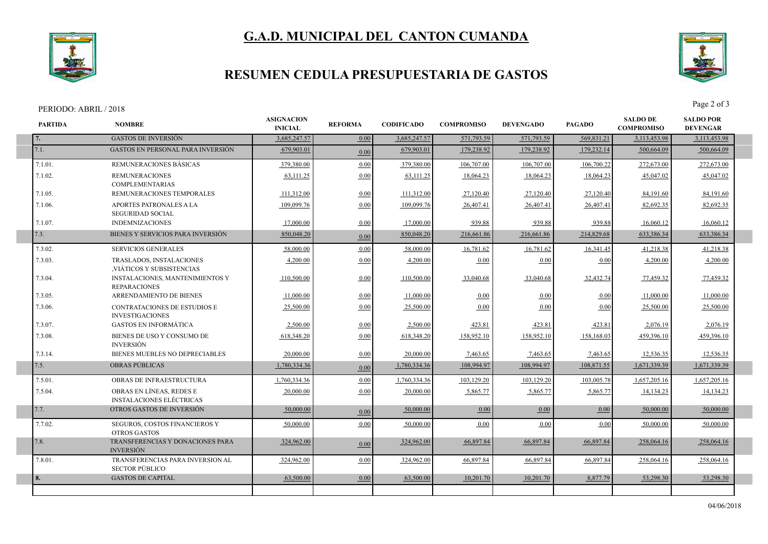



## **RESUMEN CEDULA PRESUPUESTARIA DE GASTOS**

#### PERIODO: ABRIL / 2018 Page 2 of 3

I

I

I



| <b>PARTIDA</b> | <b>NOMBRE</b>                                                 | <b>ASIGNACION</b><br><b>INICIAL</b> | <b>REFORMA</b> | <b>CODIFICADO</b> | <b>COMPROMISO</b> | <b>DEVENGADO</b> | <b>PAGADO</b> | <b>SALDO DE</b><br><b>COMPROMISO</b> | <b>SALDO POR</b><br><b>DEVENGAR</b> |  |
|----------------|---------------------------------------------------------------|-------------------------------------|----------------|-------------------|-------------------|------------------|---------------|--------------------------------------|-------------------------------------|--|
| 7.             | <b>GASTOS DE INVERSIÓN</b>                                    | 3,685,247.57                        | 0.00           | 3,685,247.57      | 571,793.59        | 571,793.59       | 569,831.21    | 3,113,453.98                         | 3,113,453.98                        |  |
| 7.1.           | <b>GASTOS EN PERSONAL PARA INVERSIÓN</b>                      | 679,903.01                          | 0.00           | 679,903.01        | 179.238.92        | 179,238.92       | 179,232.14    | 500,664.09                           | 500,664.09                          |  |
| 7.1.01.        | REMUNERACIONES BÁSICAS                                        | 379,380.00                          | 0.00           | 379.380.00        | 106,707.00        | 106,707.00       | 106.700.22    | 272,673.00                           | 272,673.00                          |  |
| 7.1.02.        | <b>REMUNERACIONES</b><br><b>COMPLEMENTARIAS</b>               | 63,111.25                           | 0.00           | 63,111.25         | 18,064.23         | 18,064.23        | 18,064.23     | 45,047.02                            | 45,047.02                           |  |
| 7.1.05.        | REMUNERACIONES TEMPORALES                                     | 111,312.00                          | 0.00           | 111,312.00        | 27,120.40         | 27,120.40        | 27,120.40     | 84,191.60                            | 84,191.60                           |  |
| 7.1.06.        | APORTES PATRONALES A LA<br>SEGURIDAD SOCIAL                   | 109,099.76                          | 0.00           | 109,099.76        | 26,407.41         | 26,407.41        | 26,407.41     | 82,692.35                            | 82,692.35                           |  |
| 7.1.07.        | <b>INDEMNIZACIONES</b>                                        | 17,000.00                           | 0.00           | 17,000.00         | 939.88            | 939.88           | 939.88        | 16,060.12                            | 16,060.12                           |  |
| 7.3.           | BIENES Y SERVICIOS PARA INVERSIÓN                             | 850,048.20                          | 0.00           | 850,048.20        | 216,661.86        | 216,661.86       | 214,829.68    | 633,386.34                           | 633,386.34                          |  |
| 7.3.02.        | <b>SERVICIOS GENERALES</b>                                    | 58,000.00                           | 0.00           | 58,000.00         | 16,781.62         | 16,781.62        | 16,341.45     | 41,218.38                            | 41,218.38                           |  |
| 7.3.03.        | TRASLADOS, INSTALACIONES<br>VIÁTICOS Y SUBSISTENCIAS          | 4,200.00                            | 0.00           | 4,200.00          | 0.00              | 0.00             | 0.00          | 4,200.00                             | 4,200.00                            |  |
| 7.3.04.        | INSTALACIONES, MANTENIMIENTOS Y<br><b>REPARACIONES</b>        | 110,500.00                          | 0.00           | 110,500.00        | 33,040.68         | 33,040.68        | 32,432.74     | 77,459.32                            | 77,459.32                           |  |
| 7.3.05.        | ARRENDAMIENTO DE BIENES                                       | 11,000.00                           | 0.00           | 11,000.00         | 0.00              | 0.00             | 0.00          | 11,000.00                            | 11,000.00                           |  |
| 7.3.06.        | <b>CONTRATACIONES DE ESTUDIOS E</b><br><b>INVESTIGACIONES</b> | 25,500.00                           | 0.00           | 25,500.00         | 0.00              | 0.00             | 0.00          | 25,500.00                            | 25,500.00                           |  |
| 7.3.07.        | <b>GASTOS EN INFORMÁTICA</b>                                  | 2,500.00                            | 0.00           | 2,500.00          | 423.81            | 423.81           | 423.81        | 2,076.19                             | 2,076.19                            |  |
| 7.3.08.        | BIENES DE USO Y CONSUMO DE<br><b>INVERSIÓN</b>                | 618,348.20                          | 0.00           | 618,348.20        | 158,952.10        | 158,952.10       | 158,168.03    | 459.396.10                           | 459,396.10                          |  |
| 7.3.14.        | BIENES MUEBLES NO DEPRECIABLES                                | 20,000.00                           | 0.00           | 20,000.00         | 7,463.65          | 7,463.65         | 7,463.65      | 12,536.35                            | 12,536.35                           |  |
| 7.5.           | <b>OBRAS PUBLICAS</b>                                         | 1,780,334.36                        | 0.00           | 1,780,334.36      | 108,994.97        | 108,994.97       | 108,871.55    | 1,671,339.39                         | 1,671,339.39                        |  |
| 7.5.01.        | OBRAS DE INFRAESTRUCTURA                                      | 1,760,334.36                        | 0.00           | 1,760,334.36      | 103,129.20        | 103,129.20       | 103,005.78    | 1,657,205.16                         | 1,657,205.16                        |  |
| 7.5.04.        | OBRAS EN LÍNEAS, REDES E<br><b>INSTALACIONES ELÉCTRICAS</b>   | 20,000.00                           | 0.00           | 20,000.00         | 5,865.77          | 5,865.77         | 5,865.77      | 14,134.23                            | 14,134.23                           |  |
| 7.7.           | OTROS GASTOS DE INVERSIÓN                                     | 50,000.00                           | 0.00           | 50,000.00         | 0.00              | 0.00             | 0.00          | 50,000.00                            | 50,000.00                           |  |
| 7.7.02.        | SEGUROS, COSTOS FINANCIEROS Y<br><b>OTROS GASTOS</b>          | 50,000.00                           | 0.00           | 50,000.00         | 0.00              | 0.00             | 0.00          | 50,000.00                            | 50,000.00                           |  |
| 7.8.           | TRANSFERENCIAS Y DONACIONES PARA<br><b>INVERSIÓN</b>          | 324,962.00                          | 0.00           | 324,962.00        | 66,897.84         | 66,897.84        | 66,897.84     | 258,064.16                           | 258,064.16                          |  |
| 7.8.01.        | TRANSFERENCIAS PARA INVERSION AL<br><b>SECTOR PÚBLICO</b>     | 324,962.00                          | 0.00           | 324,962.00        | 66,897.84         | 66.897.84        | 66.897.84     | 258,064.16                           | 258,064.16                          |  |
| l 8.           | <b>GASTOS DE CAPITAL</b>                                      | 63,500.00                           | 0.00           | 63,500.00         | 10,201.70         | 10,201.70        | 8,877.79      | 53,298.30                            | 53,298.30                           |  |
|                |                                                               |                                     |                |                   |                   |                  |               |                                      |                                     |  |